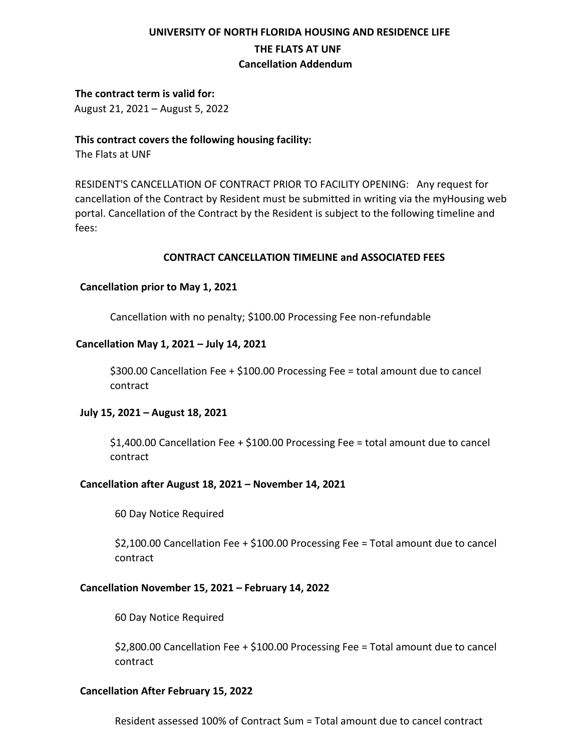# **UNIVERSITY OF NORTH FLORIDA HOUSING AND RESIDENCE LIFE THE FLATS AT UNF Cancellation Addendum**

# **The contract term is valid for:**

August 21, 2021 – August 5, 2022

# **This contract covers the following housing facility:**

The Flats at UNF

 RESIDENT'S CANCELLATION OF CONTRACT PRIOR TO FACILITY OPENING: Any request for cancellation of the Contract by Resident must be submitted in writing via the myHousing web portal. Cancellation of the Contract by the Resident is subject to the following timeline and fees:

#### **CONTRACT CANCELLATION TIMELINE and ASSOCIATED FEES**

# **Cancellation prior to May 1, 2021**

Cancellation with no penalty; \$100.00 Processing Fee non-refundable

#### **Cancellation May 1, 2021 – July 14, 2021**

\$300.00 Cancellation Fee + \$100.00 Processing Fee = total amount due to cancel contract

#### **July 15, 2021 – August 18, 2021**

\$1,400.00 Cancellation Fee + \$100.00 Processing Fee = total amount due to cancel contract

# **Cancellation after August 18, 2021 – November 14, 2021**

60 Day Notice Required

\$2,100.00 Cancellation Fee + \$100.00 Processing Fee = Total amount due to cancel contract

### **Cancellation November 15, 2021 – February 14, 2022**

60 Day Notice Required

\$2,800.00 Cancellation Fee + \$100.00 Processing Fee = Total amount due to cancel contract

# **Cancellation After February 15, 2022**

Resident assessed 100% of Contract Sum = Total amount due to cancel contract